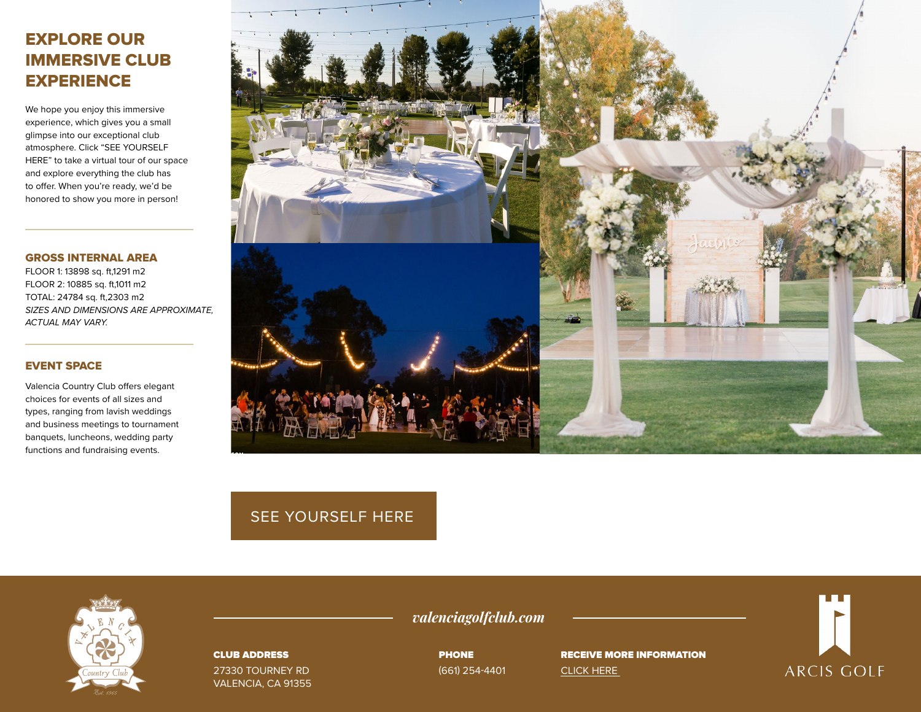# EXPLORE OUR IMMERSIVE CLUB **EXPERIENCE**

We hope you enjoy this immersive experience, which gives you a small glimpse into our exceptional club atmosphere. Click "SEE YOURSELF HERE" to take a virtual tour of our space and explore everything the club has to offer. When you're ready, we'd be honored to show you more in person!

#### GROSS INTERNAL AREA

FLOOR 1: 13898 sq. ft,1291 m2 FLOOR 2: 10885 sq. ft,1011 m2 TOTAL: 24784 sq. ft,2303 m2 *SIZES AND DIMENSIONS ARE APPROXIMATE, ACTUAL MAY VARY.*

## EVENT SPACE

Valencia Country Club offers elegant choices for events of all sizes and types, ranging from lavish weddings and business meetings to tournament banquets, luncheons, wedding party functions and fundraising events.



# [SEE YOURSELF HERE](https://bit.ly/3B6F7ta)



#### CLUB ADDRESS

27330 TOURNEY RD VALENCIA, CA 91355 *valenciagolfclub.com*

PHONE (661) 254-4401

RECEIVE MORE INFORMATION [CLICK HERE](https://www.valenciagolfclub.com/private-events-vm) 

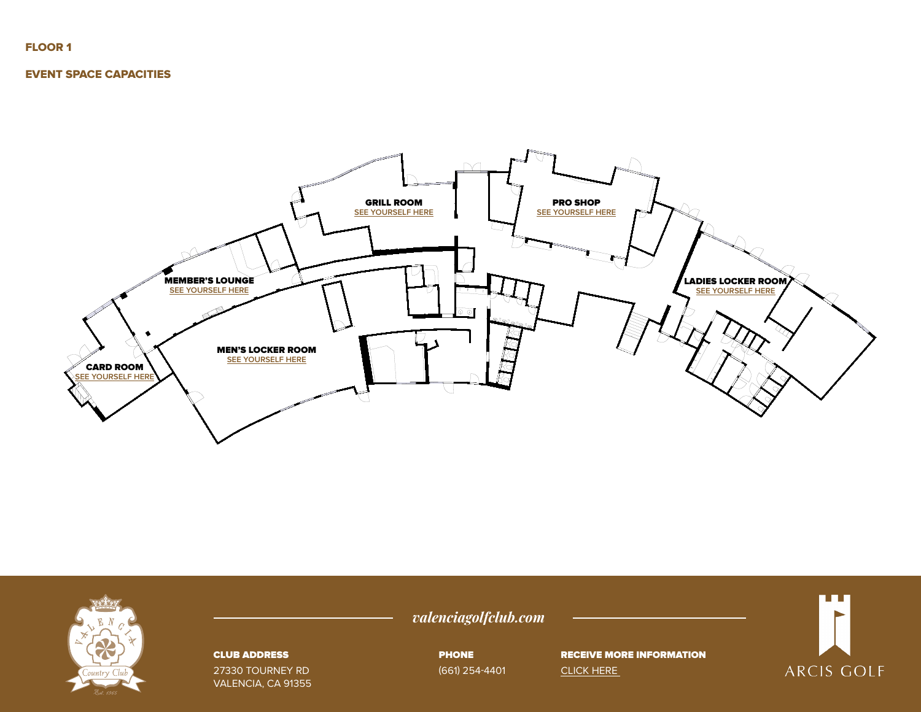### FLOOR 1

#### EVENT SPACE CAPACITIES





#### CLUB ADDRESS

27330 TOURNEY RD VALENCIA, CA 91355 *valenciagolfclub.com*

PHONE (661) 254-4401

RECEIVE MORE INFORMATION [CLICK HERE](https://www.valenciagolfclub.com/private-events-vm) 

n Film **ARCIS GOLF**